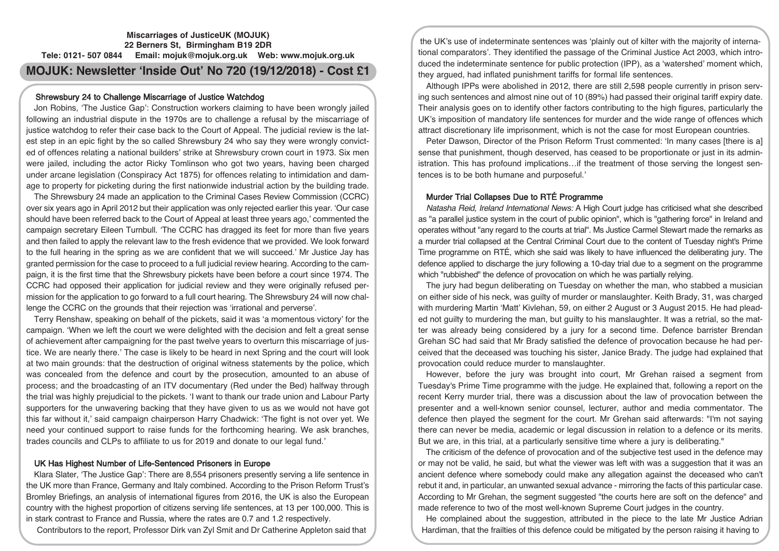# **Miscarriages of JusticeUK (MOJUK) 22 Berners St, Birmingham B19 2DR Tele: 0121- 507 0844 Email: mojuk@mojuk.org.uk Web: www.mojuk.org.uk MOJUK: Newsletter 'Inside Out' No 720 (19/12/2018) - Cost £1**

# Shrewsbury 24 to Challenge Miscarriage of Justice Watchdog

Jon Robins, 'The Justice Gap': Construction workers claiming to have been wrongly jailed following an industrial dispute in the 1970s are to challenge a refusal by the miscarriage of justice watchdog to refer their case back to the Court of Appeal. The judicial review is the latest step in an epic fight by the so called Shrewsbury 24 who say they were wrongly convicted of offences relating a national builders' strike at Shrewsbury crown court in 1973. Six men were jailed, including the actor Ricky Tomlinson who got two years, having been charged under arcane legislation (Conspiracy Act 1875) for offences relating to intimidation and damage to property for picketing during the first nationwide industrial action by the building trade.

The Shrewsbury 24 made an application to the Criminal Cases Review Commission (CCRC) over six years ago in April 2012 but their application was only rejected earlier this year. 'Our case should have been referred back to the Court of Appeal at least three years ago,' commented the campaign secretary Eileen Turnbull. 'The CCRC has dragged its feet for more than five years and then failed to apply the relevant law to the fresh evidence that we provided. We look forward to the full hearing in the spring as we are confident that we will succeed.' Mr Justice Jay has granted permission for the case to proceed to a full judicial review hearing. According to the campaign, it is the first time that the Shrewsbury pickets have been before a court since 1974. The CCRC had opposed their application for judicial review and they were originally refused permission for the application to go forward to a full court hearing. The Shrewsbury 24 will now challenge the CCRC on the grounds that their rejection was 'irrational and perverse'.

Terry Renshaw, speaking on behalf of the pickets, said it was 'a momentous victory' for the campaign. 'When we left the court we were delighted with the decision and felt a great sense of achievement after campaigning for the past twelve years to overturn this miscarriage of justice. We are nearly there.' The case is likely to be heard in next Spring and the court will look at two main grounds: that the destruction of original witness statements by the police, which was concealed from the defence and court by the prosecution, amounted to an abuse of process; and the broadcasting of an ITV documentary (Red under the Bed) halfway through the trial was highly prejudicial to the pickets. 'I want to thank our trade union and Labour Party supporters for the unwavering backing that they have given to us as we would not have got this far without it,' said campaign chairperson Harry Chadwick: 'The fight is not over yet. We need your continued support to raise funds for the forthcoming hearing. We ask branches, trades councils and CLPs to affiliate to us for 2019 and donate to our legal fund.'

# UK Has Highest Number of Life-Sentenced Prisoners in Europe

Klara Slater, 'The Justice Gap': There are 8,554 prisoners presently serving a life sentence in the UK more than France, Germany and Italy combined. According to the Prison Reform Trust's Bromley Briefings, an analysis of international figures from 2016, the UK is also the European country with the highest proportion of citizens serving life sentences, at 13 per 100,000. This is in stark contrast to France and Russia, where the rates are 0.7 and 1.2 respectively.

Contributors to the report, Professor Dirk van Zyl Smit and Dr Catherine Appleton said that

the UK's use of indeterminate sentences was 'plainly out of kilter with the majority of international comparators'. They identified the passage of the Criminal Justice Act 2003, which introduced the indeterminate sentence for public protection (IPP), as a 'watershed' moment which, they argued, had inflated punishment tariffs for formal life sentences.

Although IPPs were abolished in 2012, there are still 2,598 people currently in prison serving such sentences and almost nine out of 10 (89%) had passed their original tariff expiry date. Their analysis goes on to identify other factors contributing to the high figures, particularly the UK's imposition of mandatory life sentences for murder and the wide range of offences which attract discretionary life imprisonment, which is not the case for most European countries.

Peter Dawson, Director of the Prison Reform Trust commented: 'In many cases [there is a] sense that punishment, though deserved, has ceased to be proportionate or just in its administration. This has profound implications…if the treatment of those serving the longest sentences is to be both humane and purposeful.'

# Murder Trial Collapses Due to RTÉ Programme

Natasha Reid, Ireland International News: A High Court judge has criticised what she described as "a parallel justice system in the court of public opinion", which is "gathering force" in Ireland and operates without "any regard to the courts at trial". Ms Justice Carmel Stewart made the remarks as a murder trial collapsed at the Central Criminal Court due to the content of Tuesday night's Prime Time programme on RTÉ, which she said was likely to have influenced the deliberating jury. The defence applied to discharge the jury following a 10-day trial due to a segment on the programme which "rubbished" the defence of provocation on which he was partially relying.

The jury had begun deliberating on Tuesday on whether the man, who stabbed a musician on either side of his neck, was guilty of murder or manslaughter. Keith Brady, 31, was charged with murdering Martin 'Matt' Kivlehan, 59, on either 2 August or 3 August 2015. He had pleaded not guilty to murdering the man, but guilty to his manslaughter. It was a retrial, so the matter was already being considered by a jury for a second time. Defence barrister Brendan Grehan SC had said that Mr Brady satisfied the defence of provocation because he had perceived that the deceased was touching his sister, Janice Brady. The judge had explained that provocation could reduce murder to manslaughter.

However, before the jury was brought into court, Mr Grehan raised a segment from Tuesday's Prime Time programme with the judge. He explained that, following a report on the recent Kerry murder trial, there was a discussion about the law of provocation between the presenter and a well-known senior counsel, lecturer, author and media commentator. The defence then played the segment for the court. Mr Grehan said afterwards: "I'm not saying there can never be media, academic or legal discussion in relation to a defence or its merits. But we are, in this trial, at a particularly sensitive time where a jury is deliberating."

The criticism of the defence of provocation and of the subjective test used in the defence may or may not be valid, he said, but what the viewer was left with was a suggestion that it was an ancient defence where somebody could make any allegation against the deceased who can't rebut it and, in particular, an unwanted sexual advance - mirroring the facts of this particular case. According to Mr Grehan, the segment suggested "the courts here are soft on the defence" and made reference to two of the most well-known Supreme Court judges in the country.

He complained about the suggestion, attributed in the piece to the late Mr Justice Adrian Hardiman, that the frailties of this defence could be mitigated by the person raising it having to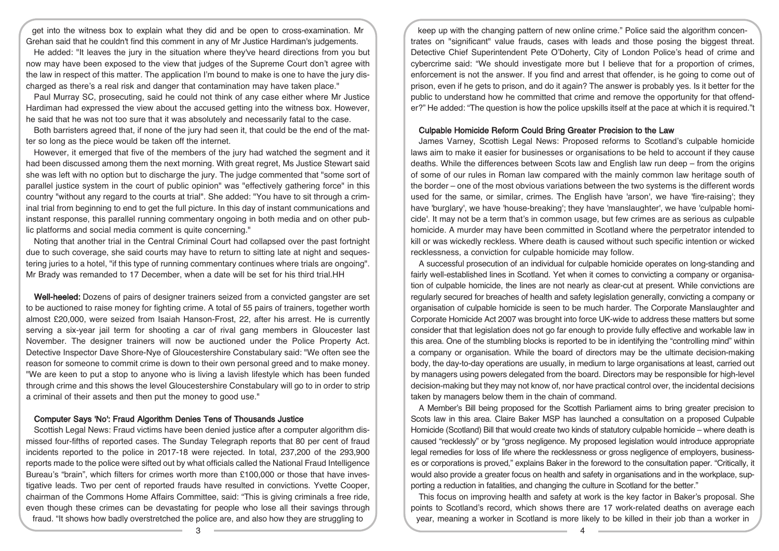get into the witness box to explain what they did and be open to cross-examination. Mr Grehan said that he couldn't find this comment in any of Mr Justice Hardiman's judgements.

He added: "It leaves the jury in the situation where they've heard directions from you but now may have been exposed to the view that judges of the Supreme Court don't agree with the law in respect of this matter. The application I'm bound to make is one to have the jury discharged as there's a real risk and danger that contamination may have taken place."

Paul Murray SC, prosecuting, said he could not think of any case either where Mr Justice Hardiman had expressed the view about the accused getting into the witness box. However, he said that he was not too sure that it was absolutely and necessarily fatal to the case.

Both barristers agreed that, if none of the jury had seen it, that could be the end of the matter so long as the piece would be taken off the internet.

However, it emerged that five of the members of the jury had watched the segment and it had been discussed among them the next morning. With great regret, Ms Justice Stewart said she was left with no option but to discharge the jury. The judge commented that "some sort of parallel justice system in the court of public opinion" was "effectively gathering force" in this country "without any regard to the courts at trial". She added: "You have to sit through a criminal trial from beginning to end to get the full picture. In this day of instant communications and instant response, this parallel running commentary ongoing in both media and on other public platforms and social media comment is quite concerning."

Noting that another trial in the Central Criminal Court had collapsed over the past fortnight due to such coverage, she said courts may have to return to sitting late at night and sequestering juries to a hotel, "if this type of running commentary continues where trials are ongoing". Mr Brady was remanded to 17 December, when a date will be set for his third trial.HH

Well-heeled: Dozens of pairs of designer trainers seized from a convicted gangster are set to be auctioned to raise money for fighting crime. A total of 55 pairs of trainers, together worth almost £20,000, were seized from Isaiah Hanson-Frost, 22, after his arrest. He is currently serving a six-year jail term for shooting a car of rival gang members in Gloucester last November. The designer trainers will now be auctioned under the Police Property Act. Detective Inspector Dave Shore-Nye of Gloucestershire Constabulary said: "We often see the reason for someone to commit crime is down to their own personal greed and to make money. "We are keen to put a stop to anyone who is living a lavish lifestyle which has been funded through crime and this shows the level Gloucestershire Constabulary will go to in order to strip a criminal of their assets and then put the money to good use."

# Computer Says 'No': Fraud Algorithm Denies Tens of Thousands Justice

Scottish Legal News: Fraud victims have been denied justice after a computer algorithm dismissed four-fifths of reported cases. The Sunday Telegraph reports that 80 per cent of fraud incidents reported to the police in 2017-18 were rejected. In total, 237,200 of the 293,900 reports made to the police were sifted out by what officials called the National Fraud Intelligence Bureau's "brain", which filters for crimes worth more than £100,000 or those that have investigative leads. Two per cent of reported frauds have resulted in convictions. Yvette Cooper, chairman of the Commons Home Affairs Committee, said: "This is giving criminals a free ride, even though these crimes can be devastating for people who lose all their savings through fraud. "It shows how badly overstretched the police are, and also how they are struggling to

keep up with the changing pattern of new online crime." Police said the algorithm concentrates on "significant" value frauds, cases with leads and those posing the biggest threat. Detective Chief Superintendent Pete O'Doherty, City of London Police's head of crime and cybercrime said: "We should investigate more but I believe that for a proportion of crimes, enforcement is not the answer. If you find and arrest that offender, is he going to come out of prison, even if he gets to prison, and do it again? The answer is probably yes. Is it better for the public to understand how he committed that crime and remove the opportunity for that offender?" He added: "The question is how the police upskills itself at the pace at which it is required."t

# Culpable Homicide Reform Could Bring Greater Precision to the Law

James Varney, Scottish Legal News: Proposed reforms to Scotland's culpable homicide laws aim to make it easier for businesses or organisations to be held to account if they cause deaths. While the differences between Scots law and English law run deep – from the origins of some of our rules in Roman law compared with the mainly common law heritage south of the border – one of the most obvious variations between the two systems is the different words used for the same, or similar, crimes. The English have 'arson', we have 'fire-raising'; they have 'burglary', we have 'house-breaking'; they have 'manslaughter', we have 'culpable homicide'. It may not be a term that's in common usage, but few crimes are as serious as culpable homicide. A murder may have been committed in Scotland where the perpetrator intended to kill or was wickedly reckless. Where death is caused without such specific intention or wicked recklessness, a conviction for culpable homicide may follow.

A successful prosecution of an individual for culpable homicide operates on long-standing and fairly well-established lines in Scotland. Yet when it comes to convicting a company or organisation of culpable homicide, the lines are not nearly as clear-cut at present. While convictions are regularly secured for breaches of health and safety legislation generally, convicting a company or organisation of culpable homicide is seen to be much harder. The Corporate Manslaughter and Corporate Homicide Act 2007 was brought into force UK-wide to address these matters but some consider that that legislation does not go far enough to provide fully effective and workable law in this area. One of the stumbling blocks is reported to be in identifying the "controlling mind" within a company or organisation. While the board of directors may be the ultimate decision-making body, the day-to-day operations are usually, in medium to large organisations at least, carried out by managers using powers delegated from the board. Directors may be responsible for high-level decision-making but they may not know of, nor have practical control over, the incidental decisions taken by managers below them in the chain of command.

A Member's Bill being proposed for the Scottish Parliament aims to bring greater precision to Scots law in this area. Claire Baker MSP has launched a consultation on a proposed Culpable Homicide (Scotland) Bill that would create two kinds of statutory culpable homicide – where death is caused "recklessly" or by "gross negligence. My proposed legislation would introduce appropriate legal remedies for loss of life where the recklessness or gross negligence of employers, businesses or corporations is proved," explains Baker in the foreword to the consultation paper. "Critically, it would also provide a greater focus on health and safety in organisations and in the workplace, supporting a reduction in fatalities, and changing the culture in Scotland for the better."

This focus on improving health and safety at work is the key factor in Baker's proposal. She points to Scotland's record, which shows there are 17 work-related deaths on average each year, meaning a worker in Scotland is more likely to be killed in their job than a worker in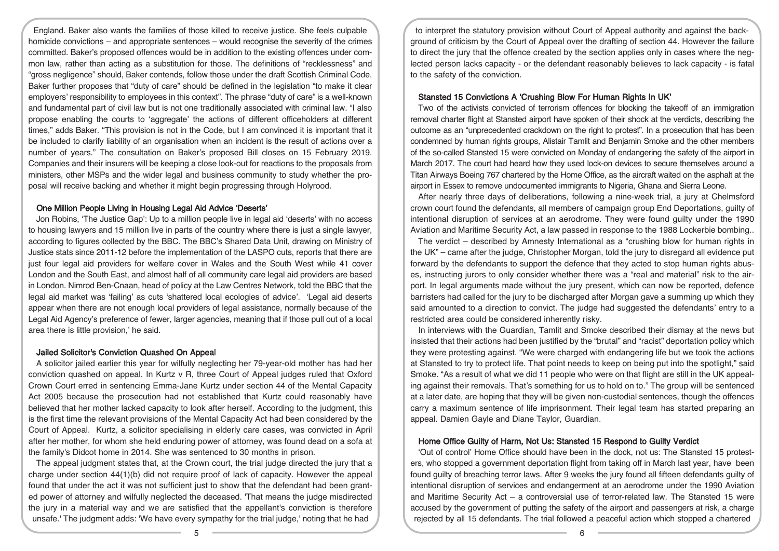England. Baker also wants the families of those killed to receive justice. She feels culpable homicide convictions – and appropriate sentences – would recognise the severity of the crimes committed. Baker's proposed offences would be in addition to the existing offences under common law, rather than acting as a substitution for those. The definitions of "recklessness" and "gross negligence" should, Baker contends, follow those under the draft Scottish Criminal Code. Baker further proposes that "duty of care" should be defined in the legislation "to make it clear employers' responsibility to employees in this context". The phrase "duty of care" is a well-known and fundamental part of civil law but is not one traditionally associated with criminal law. "I also propose enabling the courts to 'aggregate' the actions of different officeholders at different times," adds Baker. "This provision is not in the Code, but I am convinced it is important that it be included to clarify liability of an organisation when an incident is the result of actions over a number of years." The consultation on Baker's proposed Bill closes on 15 February 2019. Companies and their insurers will be keeping a close look-out for reactions to the proposals from ministers, other MSPs and the wider legal and business community to study whether the proposal will receive backing and whether it might begin progressing through Holyrood.

### One Million People Living in Housing Legal Aid Advice 'Deserts'

Jon Robins, 'The Justice Gap': Up to a million people live in legal aid 'deserts' with no access to housing lawyers and 15 million live in parts of the country where there is just a single lawyer, according to figures collected by the BBC. The BBC's Shared Data Unit, drawing on Ministry of Justice stats since 2011-12 before the implementation of the LASPO cuts, reports that there are just four legal aid providers for welfare cover in Wales and the South West while 41 cover London and the South East, and almost half of all community care legal aid providers are based in London. Nimrod Ben-Cnaan, head of policy at the Law Centres Network, told the BBC that the legal aid market was 'failing' as cuts 'shattered local ecologies of advice'. 'Legal aid deserts appear when there are not enough local providers of legal assistance, normally because of the Legal Aid Agency's preference of fewer, larger agencies, meaning that if those pull out of a local area there is little provision,' he said.

# Jailed Solicitor's Conviction Quashed On Appeal

A solicitor jailed earlier this year for wilfully neglecting her 79-year-old mother has had her conviction quashed on appeal. In Kurtz v R, three Court of Appeal judges ruled that Oxford Crown Court erred in sentencing Emma-Jane Kurtz under section 44 of the Mental Capacity Act 2005 because the prosecution had not established that Kurtz could reasonably have believed that her mother lacked capacity to look after herself. According to the judgment, this is the first time the relevant provisions of the Mental Capacity Act had been considered by the Court of Appeal. Kurtz, a solicitor specialising in elderly care cases, was convicted in April after her mother, for whom she held enduring power of attorney, was found dead on a sofa at the family's Didcot home in 2014. She was sentenced to 30 months in prison.

The appeal judgment states that, at the Crown court, the trial judge directed the jury that a charge under section 44(1)(b) did not require proof of lack of capacity. However the appeal found that under the act it was not sufficient just to show that the defendant had been granted power of attorney and wilfully neglected the deceased. 'That means the judge misdirected the jury in a material way and we are satisfied that the appellant's conviction is therefore unsafe.' The judgment adds: 'We have every sympathy for the trial judge,' noting that he had

to interpret the statutory provision without Court of Appeal authority and against the background of criticism by the Court of Appeal over the drafting of section 44. However the failure to direct the jury that the offence created by the section applies only in cases where the neglected person lacks capacity - or the defendant reasonably believes to lack capacity - is fatal to the safety of the conviction.

#### Stansted 15 Convictions A 'Crushing Blow For Human Rights In UK'

Two of the activists convicted of terrorism offences for blocking the takeoff of an immigration removal charter flight at Stansted airport have spoken of their shock at the verdicts, describing the outcome as an "unprecedented crackdown on the right to protest". In a prosecution that has been condemned by human rights groups, Alistair Tamlit and Benjamin Smoke and the other members of the so-called Stansted 15 were convicted on Monday of endangering the safety of the airport in March 2017. The court had heard how they used lock-on devices to secure themselves around a Titan Airways Boeing 767 chartered by the Home Office, as the aircraft waited on the asphalt at the airport in Essex to remove undocumented immigrants to Nigeria, Ghana and Sierra Leone.

After nearly three days of deliberations, following a nine-week trial, a jury at Chelmsford crown court found the defendants, all members of campaign group End Deportations, guilty of intentional disruption of services at an aerodrome. They were found guilty under the 1990 Aviation and Maritime Security Act, a law passed in response to the 1988 Lockerbie bombing..

The verdict – described by Amnesty International as a "crushing blow for human rights in the UK" – came after the judge, Christopher Morgan, told the jury to disregard all evidence put forward by the defendants to support the defence that they acted to stop human rights abuses, instructing jurors to only consider whether there was a "real and material" risk to the airport. In legal arguments made without the jury present, which can now be reported, defence barristers had called for the jury to be discharged after Morgan gave a summing up which they said amounted to a direction to convict. The judge had suggested the defendants' entry to a restricted area could be considered inherently risky.

In interviews with the Guardian, Tamlit and Smoke described their dismay at the news but insisted that their actions had been justified by the "brutal" and "racist" deportation policy which they were protesting against. "We were charged with endangering life but we took the actions at Stansted to try to protect life. That point needs to keep on being put into the spotlight," said Smoke. "As a result of what we did 11 people who were on that flight are still in the UK appealing against their removals. That's something for us to hold on to." The group will be sentenced at a later date, are hoping that they will be given non-custodial sentences, though the offences carry a maximum sentence of life imprisonment. Their legal team has started preparing an appeal. Damien Gayle and Diane Taylor, Guardian.

#### Home Office Guilty of Harm, Not Us: Stansted 15 Respond to Guilty Verdict

'Out of control' Home Office should have been in the dock, not us: The Stansted 15 protesters, who stopped a government deportation flight from taking off in March last year, have been found guilty of breaching terror laws. After 9 weeks the jury found all fifteen defendants guilty of intentional disruption of services and endangerment at an aerodrome under the 1990 Aviation and Maritime Security Act – a controversial use of terror-related law. The Stansted 15 were accused by the government of putting the safety of the airport and passengers at risk, a charge rejected by all 15 defendants. The trial followed a peaceful action which stopped a chartered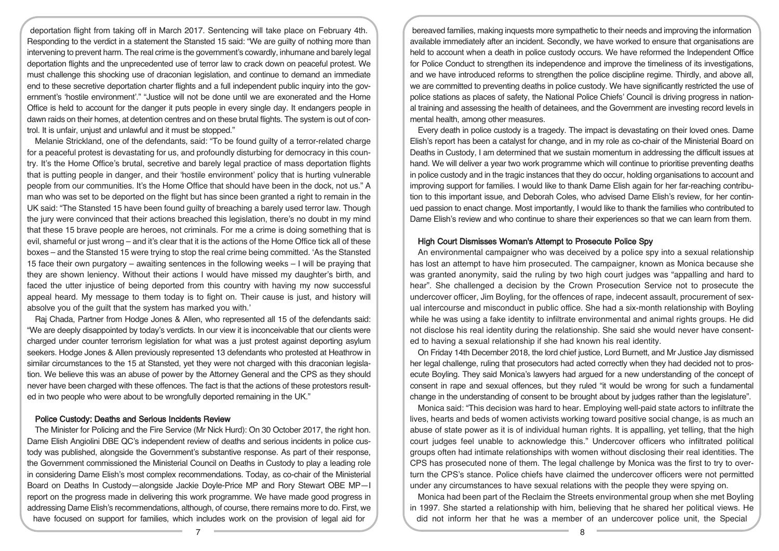deportation flight from taking off in March 2017. Sentencing will take place on February 4th. Responding to the verdict in a statement the Stansted 15 said: "We are guilty of nothing more than intervening to prevent harm. The real crime is the government's cowardly, inhumane and barely legal deportation flights and the unprecedented use of terror law to crack down on peaceful protest. We must challenge this shocking use of draconian legislation, and continue to demand an immediate end to these secretive deportation charter flights and a full independent public inquiry into the government's 'hostile environment'." "Justice will not be done until we are exonerated and the Home Office is held to account for the danger it puts people in every single day. It endangers people in dawn raids on their homes, at detention centres and on these brutal flights. The system is out of control. It is unfair, unjust and unlawful and it must be stopped."

Melanie Strickland, one of the defendants, said: "To be found guilty of a terror-related charge for a peaceful protest is devastating for us, and profoundly disturbing for democracy in this country. It's the Home Office's brutal, secretive and barely legal practice of mass deportation flights that is putting people in danger, and their 'hostile environment' policy that is hurting vulnerable people from our communities. It's the Home Office that should have been in the dock, not us." A man who was set to be deported on the flight but has since been granted a right to remain in the UK said: "The Stansted 15 have been found guilty of breaching a barely used terror law. Though the jury were convinced that their actions breached this legislation, there's no doubt in my mind that these 15 brave people are heroes, not criminals. For me a crime is doing something that is evil, shameful or just wrong – and it's clear that it is the actions of the Home Office tick all of these boxes – and the Stansted 15 were trying to stop the real crime being committed. 'As the Stansted 15 face their own purgatory – awaiting sentences in the following weeks – I will be praying that they are shown leniency. Without their actions I would have missed my daughter's birth, and faced the utter injustice of being deported from this country with having my now successful appeal heard. My message to them today is to fight on. Their cause is just, and history will absolve you of the guilt that the system has marked you with.'

Raj Chada, Partner from Hodge Jones & Allen, who represented all 15 of the defendants said: "We are deeply disappointed by today's verdicts. In our view it is inconceivable that our clients were charged under counter terrorism legislation for what was a just protest against deporting asylum seekers. Hodge Jones & Allen previously represented 13 defendants who protested at Heathrow in similar circumstances to the 15 at Stansted, yet they were not charged with this draconian legislation. We believe this was an abuse of power by the Attorney General and the CPS as they should never have been charged with these offences. The fact is that the actions of these protestors resulted in two people who were about to be wrongfully deported remaining in the UK."

#### Police Custody: Deaths and Serious Incidents Review

The Minister for Policing and the Fire Service (Mr Nick Hurd): On 30 October 2017, the right hon. Dame Elish Angiolini DBE QC's independent review of deaths and serious incidents in police custody was published, alongside the Government's substantive response. As part of their response, the Government commissioned the Ministerial Council on Deaths in Custody to play a leading role in considering Dame Elish's most complex recommendations. Today, as co-chair of the Ministerial Board on Deaths In Custody—alongside Jackie Doyle-Price MP and Rory Stewart OBE MP—I report on the progress made in delivering this work programme. We have made good progress in addressing Dame Elish's recommendations, although, of course, there remains more to do. First, we have focused on support for families, which includes work on the provision of legal aid for

bereaved families, making inquests more sympathetic to their needs and improving the information available immediately after an incident. Secondly, we have worked to ensure that organisations are held to account when a death in police custody occurs. We have reformed the Independent Office for Police Conduct to strengthen its independence and improve the timeliness of its investigations, and we have introduced reforms to strengthen the police discipline regime. Thirdly, and above all, we are committed to preventing deaths in police custody. We have significantly restricted the use of police stations as places of safety, the National Police Chiefs' Council is driving progress in national training and assessing the health of detainees, and the Government are investing record levels in mental health, among other measures.

Every death in police custody is a tragedy. The impact is devastating on their loved ones. Dame Elish's report has been a catalyst for change, and in my role as co-chair of the Ministerial Board on Deaths in Custody, I am determined that we sustain momentum in addressing the difficult issues at hand. We will deliver a year two work programme which will continue to prioritise preventing deaths in police custody and in the tragic instances that they do occur, holding organisations to account and improving support for families. I would like to thank Dame Elish again for her far-reaching contribution to this important issue, and Deborah Coles, who advised Dame Elish's review, for her continued passion to enact change. Most importantly, I would like to thank the families who contributed to Dame Elish's review and who continue to share their experiences so that we can learn from them.

# High Court Dismisses Woman's Attempt to Prosecute Police Spy

An environmental campaigner who was deceived by a police spy into a sexual relationship has lost an attempt to have him prosecuted. The campaigner, known as Monica because she was granted anonymity, said the ruling by two high court judges was "appalling and hard to hear". She challenged a decision by the Crown Prosecution Service not to prosecute the undercover officer, Jim Boyling, for the offences of rape, indecent assault, procurement of sexual intercourse and misconduct in public office. She had a six-month relationship with Boyling while he was using a fake identity to infiltrate environmental and animal rights groups. He did not disclose his real identity during the relationship. She said she would never have consented to having a sexual relationship if she had known his real identity.

On Friday 14th December 2018, the lord chief justice, Lord Burnett, and Mr Justice Jay dismissed her legal challenge, ruling that prosecutors had acted correctly when they had decided not to prosecute Boyling. They said Monica's lawyers had argued for a new understanding of the concept of consent in rape and sexual offences, but they ruled "it would be wrong for such a fundamental change in the understanding of consent to be brought about by judges rather than the legislature".

Monica said: "This decision was hard to hear. Employing well-paid state actors to infiltrate the lives, hearts and beds of women activists working toward positive social change, is as much an abuse of state power as it is of individual human rights. It is appalling, yet telling, that the high court judges feel unable to acknowledge this." Undercover officers who infiltrated political groups often had intimate relationships with women without disclosing their real identities. The CPS has prosecuted none of them. The legal challenge by Monica was the first to try to overturn the CPS's stance. Police chiefs have claimed the undercover officers were not permitted under any circumstances to have sexual relations with the people they were spying on.

Monica had been part of the Reclaim the Streets environmental group when she met Boyling in 1997. She started a relationship with him, believing that he shared her political views. He did not inform her that he was a member of an undercover police unit, the Special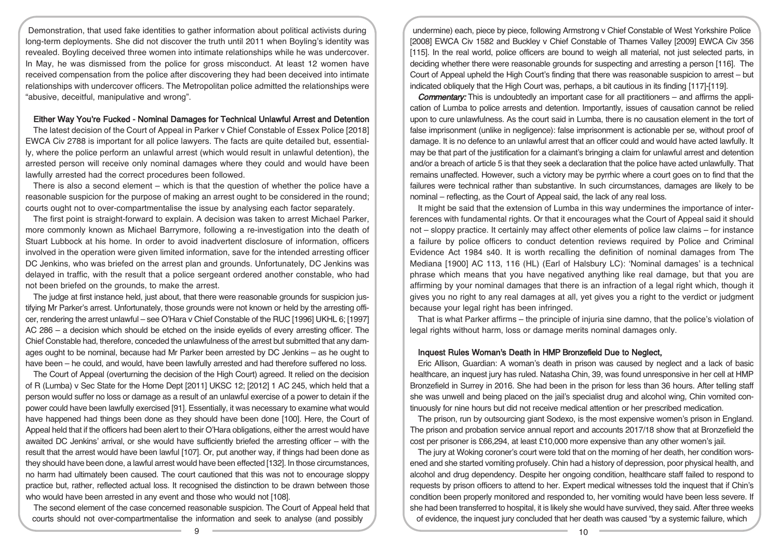Demonstration, that used fake identities to gather information about political activists during long-term deployments. She did not discover the truth until 2011 when Boyling's identity was revealed. Boyling deceived three women into intimate relationships while he was undercover. In May, he was dismissed from the police for gross misconduct. At least 12 women have received compensation from the police after discovering they had been deceived into intimate relationships with undercover officers. The Metropolitan police admitted the relationships were "abusive, deceitful, manipulative and wrong".

# Either Way You're Fucked - Nominal Damages for Technical Unlawful Arrest and Detention

The latest decision of the Court of Appeal in Parker v Chief Constable of Essex Police [2018] EWCA Civ 2788 is important for all police lawyers. The facts are quite detailed but, essentially, where the police perform an unlawful arrest (which would result in unlawful detention), the arrested person will receive only nominal damages where they could and would have been lawfully arrested had the correct procedures been followed.

There is also a second element – which is that the question of whether the police have a reasonable suspicion for the purpose of making an arrest ought to be considered in the round; courts ought not to over-compartmentalise the issue by analysing each factor separately.

The first point is straight-forward to explain. A decision was taken to arrest Michael Parker, more commonly known as Michael Barrymore, following a re-investigation into the death of Stuart Lubbock at his home. In order to avoid inadvertent disclosure of information, officers involved in the operation were given limited information, save for the intended arresting officer DC Jenkins, who was briefed on the arrest plan and grounds. Unfortunately, DC Jenkins was delayed in traffic, with the result that a police sergeant ordered another constable, who had not been briefed on the grounds, to make the arrest.

The judge at first instance held, just about, that there were reasonable grounds for suspicion justifying Mr Parker's arrest. Unfortunately, those grounds were not known or held by the arresting officer, rendering the arrest unlawful – see O'Hara v Chief Constable of the RUC [1996] UKHL 6; [1997] AC 286 – a decision which should be etched on the inside eyelids of every arresting officer. The Chief Constable had, therefore, conceded the unlawfulness of the arrest but submitted that any damages ought to be nominal, because had Mr Parker been arrested by DC Jenkins – as he ought to have been – he could, and would, have been lawfully arrested and had therefore suffered no loss.

The Court of Appeal (overturning the decision of the High Court) agreed. It relied on the decision of R (Lumba) v Sec State for the Home Dept [2011] UKSC 12; [2012] 1 AC 245, which held that a person would suffer no loss or damage as a result of an unlawful exercise of a power to detain if the power could have been lawfully exercised [91]. Essentially, it was necessary to examine what would have happened had things been done as they should have been done [100]. Here, the Court of Appeal held that if the officers had been alert to their O'Hara obligations, either the arrest would have awaited DC Jenkins' arrival, or she would have sufficiently briefed the arresting officer – with the result that the arrest would have been lawful [107]. Or, put another way, if things had been done as they should have been done, a lawful arrest would have been effected [132]. In those circumstances, no harm had ultimately been caused. The court cautioned that this was not to encourage sloppy practice but, rather, reflected actual loss. It recognised the distinction to be drawn between those who would have been arrested in any event and those who would not [108].

The second element of the case concerned reasonable suspicion. The Court of Appeal held that courts should not over-compartmentalise the information and seek to analyse (and possibly

undermine) each, piece by piece, following Armstrong v Chief Constable of West Yorkshire Police [2008] EWCA Civ 1582 and Buckley v Chief Constable of Thames Valley [2009] EWCA Civ 356 [115]. In the real world, police officers are bound to weigh all material, not just selected parts, in deciding whether there were reasonable grounds for suspecting and arresting a person [116]. The Court of Appeal upheld the High Court's finding that there was reasonable suspicion to arrest – but indicated obliquely that the High Court was, perhaps, a bit cautious in its finding [117]-[119].

**Commentary:** This is undoubtedly an important case for all practitioners – and affirms the application of Lumba to police arrests and detention. Importantly, issues of causation cannot be relied upon to cure unlawfulness. As the court said in Lumba, there is no causation element in the tort of false imprisonment (unlike in negligence): false imprisonment is actionable per se, without proof of damage. It is no defence to an unlawful arrest that an officer could and would have acted lawfully. It may be that part of the justification for a claimant's bringing a claim for unlawful arrest and detention and/or a breach of article 5 is that they seek a declaration that the police have acted unlawfully. That remains unaffected. However, such a victory may be pyrrhic where a court goes on to find that the failures were technical rather than substantive. In such circumstances, damages are likely to be nominal – reflecting, as the Court of Appeal said, the lack of any real loss.

It might be said that the extension of Lumba in this way undermines the importance of interferences with fundamental rights. Or that it encourages what the Court of Appeal said it should not – sloppy practice. It certainly may affect other elements of police law claims – for instance a failure by police officers to conduct detention reviews required by Police and Criminal Evidence Act 1984 s40. It is worth recalling the definition of nominal damages from The Mediana [1900] AC 113, 116 (HL) (Earl of Halsbury LC): 'Nominal damages' is a technical phrase which means that you have negatived anything like real damage, but that you are affirming by your nominal damages that there is an infraction of a legal right which, though it gives you no right to any real damages at all, yet gives you a right to the verdict or judgment because your legal right has been infringed.

That is what Parker affirms – the principle of injuria sine damno, that the police's violation of legal rights without harm, loss or damage merits nominal damages only.

# Inquest Rules Woman's Death in HMP Bronzefield Due to Neglect,

Eric Allison, Guardian: A woman's death in prison was caused by neglect and a lack of basic healthcare, an inquest jury has ruled. Natasha Chin, 39, was found unresponsive in her cell at HMP Bronzefield in Surrey in 2016. She had been in the prison for less than 36 hours. After telling staff she was unwell and being placed on the jail's specialist drug and alcohol wing, Chin vomited continuously for nine hours but did not receive medical attention or her prescribed medication.

The prison, run by outsourcing giant Sodexo, is the most expensive women's prison in England. The prison and probation service annual report and accounts 2017/18 show that at Bronzefield the cost per prisoner is £66,294, at least £10,000 more expensive than any other women's jail.

The jury at Woking coroner's court were told that on the morning of her death, her condition worsened and she started vomiting profusely. Chin had a history of depression, poor physical health, and alcohol and drug dependency. Despite her ongoing condition, healthcare staff failed to respond to requests by prison officers to attend to her. Expert medical witnesses told the inquest that if Chin's condition been properly monitored and responded to, her vomiting would have been less severe. If she had been transferred to hospital, it is likely she would have survived, they said. After three weeks of evidence, the inquest jury concluded that her death was caused "by a systemic failure, which